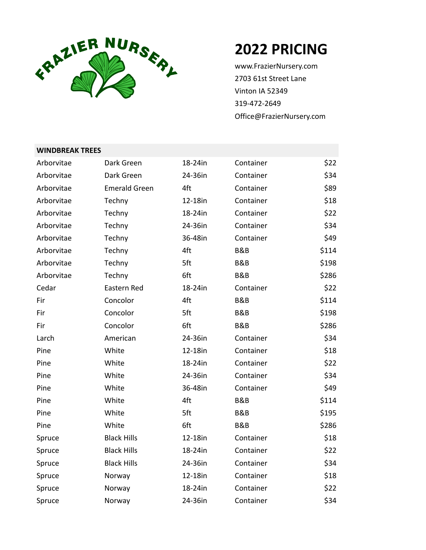

## **2022 PRICING**

www.FrazierNursery.com 2703 61st Street Lane Vinton IA 52349 319-472-2649 Office@FrazierNursery.com

| Arborvitae | Dark Green           | 18-24in | Container      | \$22  |
|------------|----------------------|---------|----------------|-------|
| Arborvitae | Dark Green           | 24-36in | Container      | \$34  |
| Arborvitae | <b>Emerald Green</b> | 4ft     | Container      | \$89  |
| Arborvitae | Techny               | 12-18in | Container      | \$18  |
| Arborvitae | Techny               | 18-24in | Container      | \$22  |
| Arborvitae | Techny               | 24-36in | Container      | \$34  |
| Arborvitae | Techny               | 36-48in | Container      | \$49  |
| Arborvitae | Techny               | 4ft     | <b>B&amp;B</b> | \$114 |
| Arborvitae | Techny               | 5ft     | B&B            | \$198 |
| Arborvitae | Techny               | 6ft     | B&B            | \$286 |
| Cedar      | Eastern Red          | 18-24in | Container      | \$22  |
| Fir        | Concolor             | 4ft     | B&B            | \$114 |
| Fir        | Concolor             | 5ft     | B&B            | \$198 |
| Fir        | Concolor             | 6ft     | B&B            | \$286 |
| Larch      | American             | 24-36in | Container      | \$34  |
| Pine       | White                | 12-18in | Container      | \$18  |
| Pine       | White                | 18-24in | Container      | \$22  |
| Pine       | White                | 24-36in | Container      | \$34  |
| Pine       | White                | 36-48in | Container      | \$49  |
| Pine       | White                | 4ft     | B&B            | \$114 |
| Pine       | White                | 5ft     | B&B            | \$195 |
| Pine       | White                | 6ft     | B&B            | \$286 |
| Spruce     | <b>Black Hills</b>   | 12-18in | Container      | \$18  |
| Spruce     | <b>Black Hills</b>   | 18-24in | Container      | \$22  |
| Spruce     | <b>Black Hills</b>   | 24-36in | Container      | \$34  |
| Spruce     | Norway               | 12-18in | Container      | \$18  |
| Spruce     | Norway               | 18-24in | Container      | \$22  |
| Spruce     | Norway               | 24-36in | Container      | \$34  |

## **WINDBREAK TREES**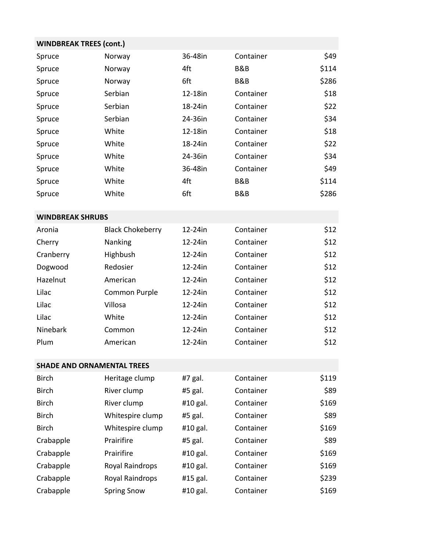| <b>WINDBREAK TREES (cont.)</b>    |                         |          |           |       |  |  |
|-----------------------------------|-------------------------|----------|-----------|-------|--|--|
| Spruce                            | Norway                  | 36-48in  | Container | \$49  |  |  |
| Spruce                            | Norway                  | 4ft      | B&B       | \$114 |  |  |
| Spruce                            | Norway                  | 6ft      | B&B       | \$286 |  |  |
| Spruce                            | Serbian                 | 12-18in  | Container | \$18  |  |  |
| Spruce                            | Serbian                 | 18-24in  | Container | \$22  |  |  |
| Spruce                            | Serbian                 | 24-36in  | Container | \$34  |  |  |
| Spruce                            | White                   | 12-18in  | Container | \$18  |  |  |
| Spruce                            | White                   | 18-24in  | Container | \$22  |  |  |
| Spruce                            | White                   | 24-36in  | Container | \$34  |  |  |
| Spruce                            | White                   | 36-48in  | Container | \$49  |  |  |
| Spruce                            | White                   | 4ft      | B&B       | \$114 |  |  |
| Spruce                            | White                   | 6ft      | B&B       | \$286 |  |  |
| <b>WINDBREAK SHRUBS</b>           |                         |          |           |       |  |  |
| Aronia                            | <b>Black Chokeberry</b> | 12-24in  | Container | \$12  |  |  |
| Cherry                            | Nanking                 | 12-24in  | Container | \$12  |  |  |
| Cranberry                         | Highbush                | 12-24in  | Container | \$12  |  |  |
| Dogwood                           | Redosier                | 12-24in  | Container | \$12  |  |  |
| Hazelnut                          | American                | 12-24in  | Container | \$12  |  |  |
| Lilac                             | Common Purple           | 12-24in  | Container | \$12  |  |  |
| Lilac                             | Villosa                 | 12-24in  | Container | \$12  |  |  |
| Lilac                             | White                   | 12-24in  | Container | \$12  |  |  |
| Ninebark                          | Common                  | 12-24in  | Container | \$12  |  |  |
| Plum                              | American                | 12-24in  | Container | \$12  |  |  |
| <b>SHADE AND ORNAMENTAL TREES</b> |                         |          |           |       |  |  |
| <b>Birch</b>                      | Heritage clump          | #7 gal.  | Container | \$119 |  |  |
| <b>Birch</b>                      | River clump             | #5 gal.  | Container | \$89  |  |  |
| <b>Birch</b>                      | River clump             | #10 gal. | Container | \$169 |  |  |
| <b>Birch</b>                      | Whitespire clump        | #5 gal.  | Container | \$89  |  |  |
| <b>Birch</b>                      | Whitespire clump        | #10 gal. | Container | \$169 |  |  |
| Crabapple                         | Prairifire              | #5 gal.  | Container | \$89  |  |  |
| Crabapple                         | Prairifire              | #10 gal. | Container | \$169 |  |  |
| Crabapple                         | Royal Raindrops         | #10 gal. | Container | \$169 |  |  |
| Crabapple                         | Royal Raindrops         | #15 gal. | Container | \$239 |  |  |
| Crabapple                         | <b>Spring Snow</b>      | #10 gal. | Container | \$169 |  |  |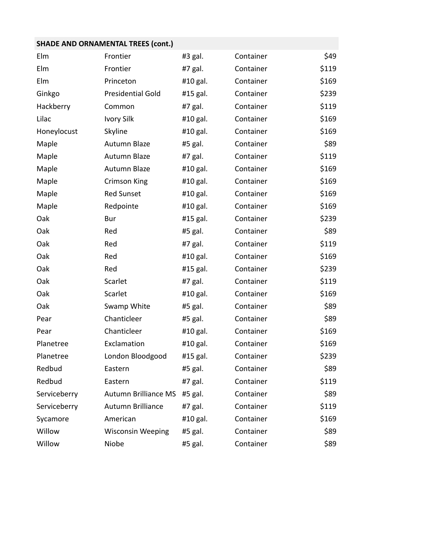## **SHADE AND ORNAMENTAL TREES (cont.)**

| Elm          | Frontier                    | #3 gal.  | Container | \$49  |
|--------------|-----------------------------|----------|-----------|-------|
| Elm          | Frontier                    | #7 gal.  | Container | \$119 |
| Elm          | Princeton                   | #10 gal. | Container | \$169 |
| Ginkgo       | <b>Presidential Gold</b>    | #15 gal. | Container | \$239 |
| Hackberry    | Common                      | #7 gal.  | Container | \$119 |
| Lilac        | <b>Ivory Silk</b>           | #10 gal. | Container | \$169 |
| Honeylocust  | Skyline                     | #10 gal. | Container | \$169 |
| Maple        | Autumn Blaze                | #5 gal.  | Container | \$89  |
| Maple        | Autumn Blaze                | #7 gal.  | Container | \$119 |
| Maple        | Autumn Blaze                | #10 gal. | Container | \$169 |
| Maple        | <b>Crimson King</b>         | #10 gal. | Container | \$169 |
| Maple        | <b>Red Sunset</b>           | #10 gal. | Container | \$169 |
| Maple        | Redpointe                   | #10 gal. | Container | \$169 |
| Oak          | Bur                         | #15 gal. | Container | \$239 |
| Oak          | Red                         | #5 gal.  | Container | \$89  |
| Oak          | Red                         | #7 gal.  | Container | \$119 |
| Oak          | Red                         | #10 gal. | Container | \$169 |
| Oak          | Red                         | #15 gal. | Container | \$239 |
| Oak          | Scarlet                     | #7 gal.  | Container | \$119 |
| Oak          | Scarlet                     | #10 gal. | Container | \$169 |
| Oak          | Swamp White                 | #5 gal.  | Container | \$89  |
| Pear         | Chanticleer                 | #5 gal.  | Container | \$89  |
| Pear         | Chanticleer                 | #10 gal. | Container | \$169 |
| Planetree    | Exclamation                 | #10 gal. | Container | \$169 |
| Planetree    | London Bloodgood            | #15 gal. | Container | \$239 |
| Redbud       | Eastern                     | #5 gal.  | Container | \$89  |
| Redbud       | Eastern                     | #7 gal.  | Container | \$119 |
| Serviceberry | <b>Autumn Brilliance MS</b> | #5 gal.  | Container | \$89  |
| Serviceberry | Autumn Brilliance           | #7 gal.  | Container | \$119 |
| Sycamore     | American                    | #10 gal. | Container | \$169 |
| Willow       | <b>Wisconsin Weeping</b>    | #5 gal.  | Container | \$89  |
| Willow       | Niobe                       | #5 gal.  | Container | \$89  |